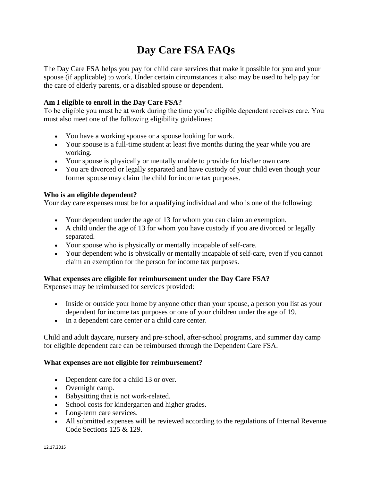# **Day Care FSA FAQs**

The Day Care FSA helps you pay for child care services that make it possible for you and your spouse (if applicable) to work. Under certain circumstances it also may be used to help pay for the care of elderly parents, or a disabled spouse or dependent.

# **Am I eligible to enroll in the Day Care FSA?**

To be eligible you must be at work during the time you're eligible dependent receives care. You must also meet one of the following eligibility guidelines:

- You have a working spouse or a spouse looking for work.
- Your spouse is a full-time student at least five months during the year while you are working.
- Your spouse is physically or mentally unable to provide for his/her own care.
- You are divorced or legally separated and have custody of your child even though your former spouse may claim the child for income tax purposes.

## **Who is an eligible dependent?**

Your day care expenses must be for a qualifying individual and who is one of the following:

- Your dependent under the age of 13 for whom you can claim an exemption.
- A child under the age of 13 for whom you have custody if you are divorced or legally separated.
- Your spouse who is physically or mentally incapable of self-care.
- Your dependent who is physically or mentally incapable of self-care, even if you cannot claim an exemption for the person for income tax purposes.

## **What expenses are eligible for reimbursement under the Day Care FSA?**

Expenses may be reimbursed for services provided:

- Inside or outside your home by anyone other than your spouse, a person you list as your dependent for income tax purposes or one of your children under the age of 19.
- In a dependent care center or a child care center.

Child and adult daycare, nursery and pre-school, after-school programs, and summer day camp for eligible dependent care can be reimbursed through the Dependent Care FSA.

## **What expenses are not eligible for reimbursement?**

- Dependent care for a child 13 or over.
- Overnight camp.
- Babysitting that is not work-related.
- School costs for kindergarten and higher grades.
- Long-term care services.
- All submitted expenses will be reviewed according to the regulations of Internal Revenue Code Sections 125 & 129.